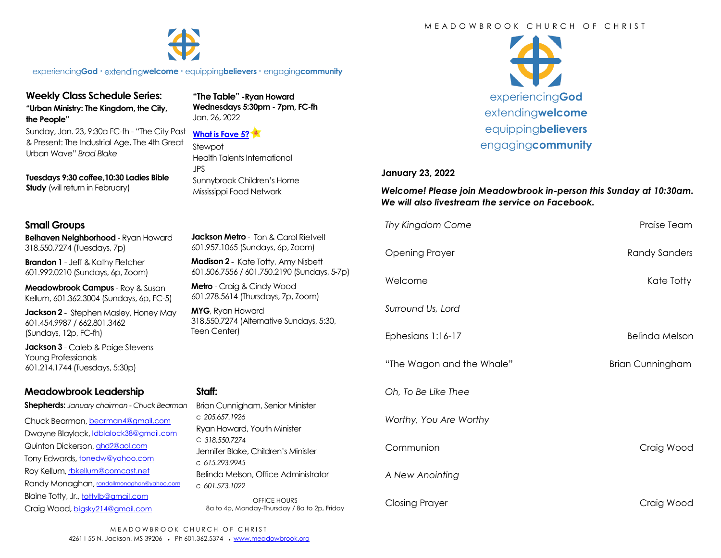#### M F A D O W B R O O K C H U R C H O F C H R I S T



experiencing**God •** extending**welcome •** equipping**believers •** engaging**community**

# **Weekly Class Schedule Series: "Urban Ministry: The Kingdom, the City,**

**the People"**

Sunday, Jan. 23, 9:30a FC-fh - "The City Past & Present: The Industrial Age, The 4th Great Urban Wave" *Brad Blake*

**Tuesdays 9:30 coffee,10:30 Ladies Bible Study** (will return in February)

# **Small Groups**

**Belhaven Neighborhood** - Ryan Howard 318.550.7274 (Tuesdays, 7p)

**Brandon 1** - Jeff & Kathy Fletcher 601.992.0210 (Sundays, 6p, Zoom)

**Meadowbrook Campus** - Roy & Susan Kellum, 601.362.3004 (Sundays, 6p, FC-5)

**Jackson 2** - Stephen Masley, Honey May 601.454.9987 / 662.801.3462 (Sundays, 12p, FC-fh)

**Jackson 3** - Caleb & Paige Stevens Young Professionals 601.214.1744 (Tuesdays, 5:30p)

# **Meadowbrook Leadership**

**Shepherds:** *January chairman - Chuck Bearman*

Chuck Bearman, [bearman4@gmail.com](mailto:bearman4@gmail.com) Dwayne Blaylock, [ldblalock38@gmail.com](mailto:ldblaylock38@gmail.com) Quinton Dickerson, [qhd2@aol.com](mailto:qhd2@aol.com) Tony Edwards, [tonedw@yahoo.com](mailto:tonedw@yahoo.com) Roy Kellum, [rbkellum@comcast.net](mailto:rbkellum@comcast.net) Randy Monaghan, [randallmonaghan@yahoo.com](mailto:randallmonaghan@yahoo.com) Blaine Totty, Jr., [tottylb@gmail.com](mailto:tottylb@gmail.com) Craig Wood, [bigsky214@gmail.com](mailto:bigsky214@gmail.com)

**"The Table" -Ryan Howard Wednesdays 5:30pm - 7pm, FC-fh** Jan. 26, 2022

#### **[What is Fave 5?](https://meadowbrook.ccbchurch.com/group_detail.php?group_id=131)**

Stewpot Health Talents International JPS Sunnybrook Children's Home Mississippi Food Network



#### **January 23, 2022**

*Welcome! Please join Meadowbrook in-person this Sunday at 10:30am. We will also livestream the service on Facebook.*

|                                                                                    | Thy Kingdom Come          | Praise Team             |
|------------------------------------------------------------------------------------|---------------------------|-------------------------|
| <b>Jackson Metro</b> - Ton & Carol Rietvelt<br>601.957.1065 (Sundays, 6p, Zoom)    | <b>Opening Prayer</b>     | <b>Randy Sanders</b>    |
| Madison 2 - Kate Totty, Amy Nisbett<br>601.506.7556 / 601.750.2190 (Sundays, 5-7p) |                           |                         |
| Metro - Craig & Cindy Wood<br>601.278.5614 (Thursdays, 7p, Zoom)                   | Welcome                   | Kate Totty              |
| MYG, Ryan Howard<br>318.550.7274 (Alternative Sundays, 5:30,<br>Teen Center)       | Surround Us, Lord         |                         |
|                                                                                    | Ephesians 1:16-17         | Belinda Melson          |
|                                                                                    | "The Wagon and the Whale" | <b>Brian Cunningham</b> |
| Staff:<br>Brian Cunnigham, Senior Minister                                         | Oh. To Be Like Thee       |                         |
| c 205.657.1926<br>Ryan Howard, Youth Minister                                      | Worthy, You Are Worthy    |                         |
| C 318,550,7274<br>Jennifer Blake, Children's Minister                              | Communion                 | Craig Wood              |
| c 615.293.9945<br>Belinda Melson, Office Administrator<br>c 601.573.1022           | A New Anointing           |                         |
| OFFICE HOURS<br>8a to 4p, Monday-Thursday / 8a to 2p, Friday                       | <b>Closing Prayer</b>     | Craig Wood              |